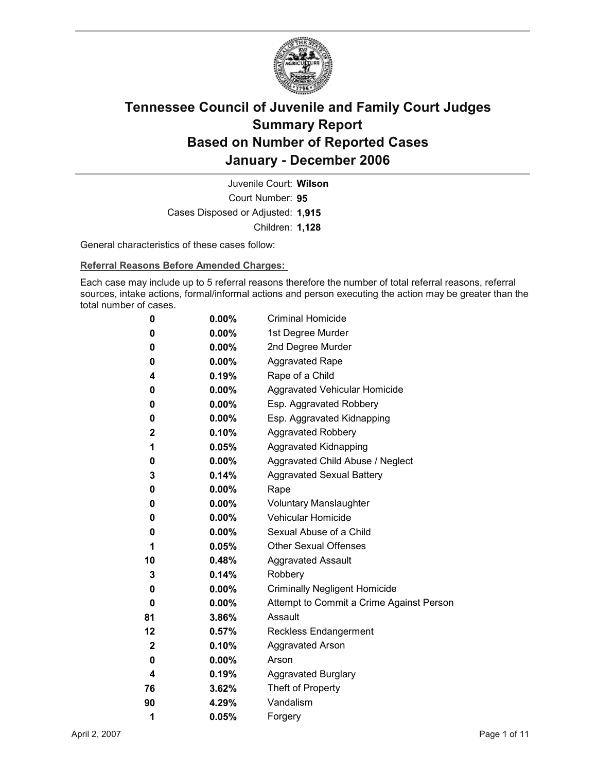

Court Number: **95** Juvenile Court: **Wilson** Cases Disposed or Adjusted: **1,915** Children: **1,128**

General characteristics of these cases follow:

**Referral Reasons Before Amended Charges:** 

Each case may include up to 5 referral reasons therefore the number of total referral reasons, referral sources, intake actions, formal/informal actions and person executing the action may be greater than the total number of cases.

| 0  | $0.00\%$ | <b>Criminal Homicide</b>                 |
|----|----------|------------------------------------------|
| 0  | $0.00\%$ | 1st Degree Murder                        |
| 0  | $0.00\%$ | 2nd Degree Murder                        |
| 0  | $0.00\%$ | <b>Aggravated Rape</b>                   |
| 4  | 0.19%    | Rape of a Child                          |
| 0  | $0.00\%$ | Aggravated Vehicular Homicide            |
| 0  | $0.00\%$ | Esp. Aggravated Robbery                  |
| 0  | $0.00\%$ | Esp. Aggravated Kidnapping               |
| 2  | $0.10\%$ | <b>Aggravated Robbery</b>                |
| 1  | 0.05%    | <b>Aggravated Kidnapping</b>             |
| 0  | $0.00\%$ | Aggravated Child Abuse / Neglect         |
| 3  | 0.14%    | <b>Aggravated Sexual Battery</b>         |
| 0  | $0.00\%$ | Rape                                     |
| 0  | $0.00\%$ | <b>Voluntary Manslaughter</b>            |
| 0  | $0.00\%$ | <b>Vehicular Homicide</b>                |
| 0  | $0.00\%$ | Sexual Abuse of a Child                  |
| 1  | 0.05%    | <b>Other Sexual Offenses</b>             |
| 10 | $0.48\%$ | <b>Aggravated Assault</b>                |
| 3  | 0.14%    | Robbery                                  |
| 0  | $0.00\%$ | <b>Criminally Negligent Homicide</b>     |
| 0  | $0.00\%$ | Attempt to Commit a Crime Against Person |
| 81 | 3.86%    | Assault                                  |
| 12 | 0.57%    | <b>Reckless Endangerment</b>             |
| 2  | $0.10\%$ | <b>Aggravated Arson</b>                  |
| 0  | $0.00\%$ | Arson                                    |
| 4  | 0.19%    | <b>Aggravated Burglary</b>               |
| 76 | $3.62\%$ | Theft of Property                        |
| 90 | 4.29%    | Vandalism                                |
| 1  | 0.05%    | Forgery                                  |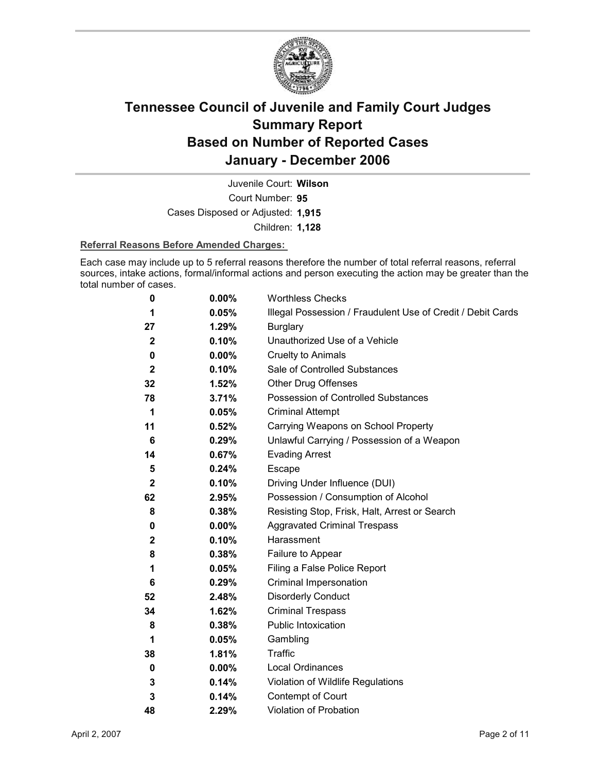

Court Number: **95** Juvenile Court: **Wilson** Cases Disposed or Adjusted: **1,915** Children: **1,128**

#### **Referral Reasons Before Amended Charges:**

Each case may include up to 5 referral reasons therefore the number of total referral reasons, referral sources, intake actions, formal/informal actions and person executing the action may be greater than the total number of cases.

| 0           | 0.00%    | <b>Worthless Checks</b>                                     |
|-------------|----------|-------------------------------------------------------------|
| 1           | 0.05%    | Illegal Possession / Fraudulent Use of Credit / Debit Cards |
| 27          | 1.29%    | <b>Burglary</b>                                             |
| $\mathbf 2$ | 0.10%    | Unauthorized Use of a Vehicle                               |
| 0           | 0.00%    | Cruelty to Animals                                          |
| $\mathbf 2$ | 0.10%    | Sale of Controlled Substances                               |
| 32          | 1.52%    | <b>Other Drug Offenses</b>                                  |
| 78          | 3.71%    | Possession of Controlled Substances                         |
| 1           | 0.05%    | <b>Criminal Attempt</b>                                     |
| 11          | 0.52%    | Carrying Weapons on School Property                         |
| 6           | 0.29%    | Unlawful Carrying / Possession of a Weapon                  |
| 14          | 0.67%    | <b>Evading Arrest</b>                                       |
| 5           | 0.24%    | Escape                                                      |
| $\mathbf 2$ | 0.10%    | Driving Under Influence (DUI)                               |
| 62          | 2.95%    | Possession / Consumption of Alcohol                         |
| 8           | 0.38%    | Resisting Stop, Frisk, Halt, Arrest or Search               |
| 0           | $0.00\%$ | <b>Aggravated Criminal Trespass</b>                         |
| $\mathbf 2$ | 0.10%    | Harassment                                                  |
| 8           | 0.38%    | Failure to Appear                                           |
| 1           | 0.05%    | Filing a False Police Report                                |
| 6           | 0.29%    | Criminal Impersonation                                      |
| 52          | 2.48%    | <b>Disorderly Conduct</b>                                   |
| 34          | 1.62%    | <b>Criminal Trespass</b>                                    |
| 8           | 0.38%    | <b>Public Intoxication</b>                                  |
| 1           | 0.05%    | Gambling                                                    |
| 38          | 1.81%    | <b>Traffic</b>                                              |
| 0           | 0.00%    | <b>Local Ordinances</b>                                     |
| 3           | 0.14%    | Violation of Wildlife Regulations                           |
| 3           | 0.14%    | Contempt of Court                                           |
| 48          | 2.29%    | Violation of Probation                                      |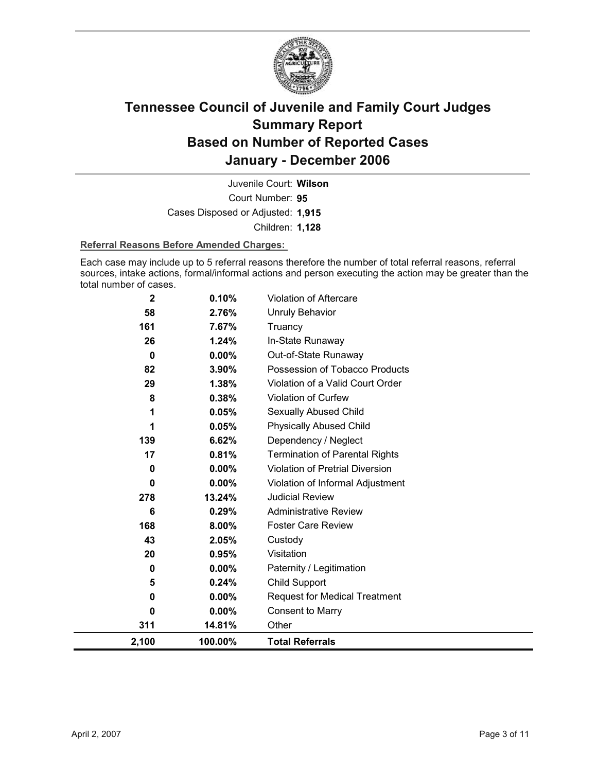

Court Number: **95** Juvenile Court: **Wilson** Cases Disposed or Adjusted: **1,915** Children: **1,128**

#### **Referral Reasons Before Amended Charges:**

Each case may include up to 5 referral reasons therefore the number of total referral reasons, referral sources, intake actions, formal/informal actions and person executing the action may be greater than the total number of cases.

| $\mathbf{2}$ | 0.10%    | <b>Violation of Aftercare</b>          |
|--------------|----------|----------------------------------------|
| 58           | 2.76%    | <b>Unruly Behavior</b>                 |
| 161          | 7.67%    | Truancy                                |
| 26           | 1.24%    | In-State Runaway                       |
| $\bf{0}$     | $0.00\%$ | Out-of-State Runaway                   |
| 82           | 3.90%    | Possession of Tobacco Products         |
| 29           | 1.38%    | Violation of a Valid Court Order       |
| 8            | 0.38%    | Violation of Curfew                    |
|              | 0.05%    | Sexually Abused Child                  |
|              | 0.05%    | <b>Physically Abused Child</b>         |
| 139          | 6.62%    | Dependency / Neglect                   |
| 17           | 0.81%    | <b>Termination of Parental Rights</b>  |
| $\bf{0}$     | 0.00%    | <b>Violation of Pretrial Diversion</b> |
| 0            | $0.00\%$ | Violation of Informal Adjustment       |
| 278          | 13.24%   | <b>Judicial Review</b>                 |
| 6            | 0.29%    | <b>Administrative Review</b>           |
| 168          | 8.00%    | <b>Foster Care Review</b>              |
| 43           | 2.05%    | Custody                                |
| 20           | 0.95%    | Visitation                             |
| $\bf{0}$     | 0.00%    | Paternity / Legitimation               |
| 5            | 0.24%    | Child Support                          |
| 0            | $0.00\%$ | <b>Request for Medical Treatment</b>   |
| 0            | 0.00%    | <b>Consent to Marry</b>                |
| 311          | 14.81%   | Other                                  |
| 2,100        | 100.00%  | <b>Total Referrals</b>                 |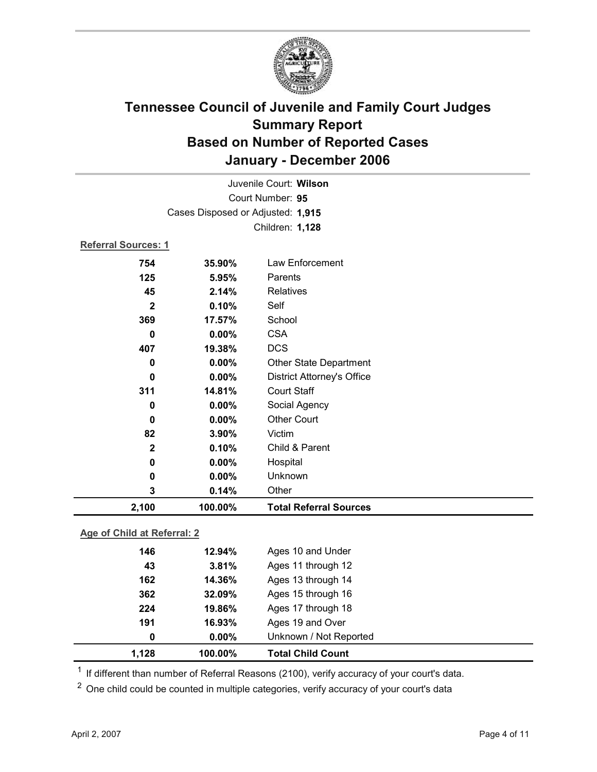

|                             |                                   | Juvenile Court: Wilson            |  |
|-----------------------------|-----------------------------------|-----------------------------------|--|
|                             |                                   | Court Number: 95                  |  |
|                             | Cases Disposed or Adjusted: 1,915 |                                   |  |
|                             |                                   | Children: 1,128                   |  |
| <b>Referral Sources: 1</b>  |                                   |                                   |  |
| 754                         | 35.90%                            | Law Enforcement                   |  |
| 125                         | 5.95%                             | Parents                           |  |
| 45                          | 2.14%                             | <b>Relatives</b>                  |  |
| $\mathbf{2}$                | 0.10%                             | Self                              |  |
| 369                         | 17.57%                            | School                            |  |
| $\mathbf 0$                 | 0.00%                             | <b>CSA</b>                        |  |
| 407                         | 19.38%                            | <b>DCS</b>                        |  |
| 0                           | 0.00%                             | Other State Department            |  |
| $\bf{0}$                    | 0.00%                             | <b>District Attorney's Office</b> |  |
| 311                         | 14.81%                            | <b>Court Staff</b>                |  |
| 0                           | 0.00%                             | Social Agency                     |  |
| 0                           | 0.00%                             | <b>Other Court</b>                |  |
| 82                          | 3.90%                             | Victim                            |  |
| $\mathbf{2}$                | 0.10%                             | Child & Parent                    |  |
| 0                           | 0.00%                             | Hospital                          |  |
| $\bf{0}$                    | 0.00%                             | Unknown                           |  |
| 3                           | 0.14%                             | Other                             |  |
| 2,100                       | 100.00%                           | <b>Total Referral Sources</b>     |  |
| Age of Child at Referral: 2 |                                   |                                   |  |

| 1,128 | 100.00%  | <b>Total Child Count</b> |  |
|-------|----------|--------------------------|--|
| 0     | $0.00\%$ | Unknown / Not Reported   |  |
| 191   | 16.93%   | Ages 19 and Over         |  |
| 224   | 19.86%   | Ages 17 through 18       |  |
| 362   | 32.09%   | Ages 15 through 16       |  |
| 162   | 14.36%   | Ages 13 through 14       |  |
| 43    | 3.81%    | Ages 11 through 12       |  |
| 146   | 12.94%   | Ages 10 and Under        |  |
|       |          |                          |  |

 $1$  If different than number of Referral Reasons (2100), verify accuracy of your court's data.

<sup>2</sup> One child could be counted in multiple categories, verify accuracy of your court's data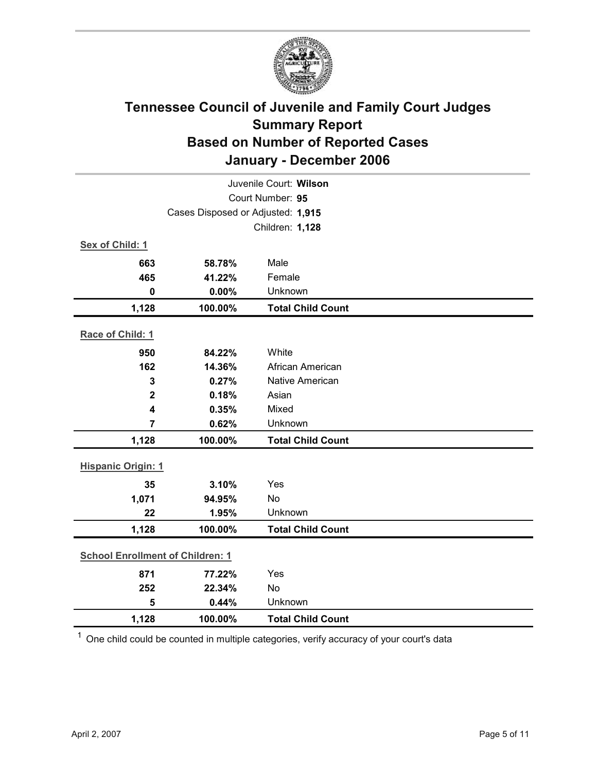

|                                         |                                   | Juvenile Court: Wilson   |
|-----------------------------------------|-----------------------------------|--------------------------|
|                                         |                                   | Court Number: 95         |
|                                         | Cases Disposed or Adjusted: 1,915 |                          |
|                                         |                                   | Children: 1,128          |
| Sex of Child: 1                         |                                   |                          |
| 663                                     | 58.78%                            | Male                     |
| 465                                     | 41.22%                            | Female                   |
| $\mathbf 0$                             | 0.00%                             | Unknown                  |
| 1,128                                   | 100.00%                           | <b>Total Child Count</b> |
| Race of Child: 1                        |                                   |                          |
| 950                                     | 84.22%                            | White                    |
| 162                                     | 14.36%                            | African American         |
| 3                                       | 0.27%                             | <b>Native American</b>   |
| $\mathbf{2}$                            | 0.18%                             | Asian                    |
| $\overline{\mathbf{4}}$                 | 0.35%                             | Mixed                    |
| $\overline{7}$                          | 0.62%                             | Unknown                  |
| 1,128                                   | 100.00%                           | <b>Total Child Count</b> |
| <b>Hispanic Origin: 1</b>               |                                   |                          |
| 35                                      | 3.10%                             | Yes                      |
| 1,071                                   | 94.95%                            | No                       |
| 22                                      | 1.95%                             | Unknown                  |
| 1,128                                   | 100.00%                           | <b>Total Child Count</b> |
| <b>School Enrollment of Children: 1</b> |                                   |                          |
| 871                                     | 77.22%                            | Yes                      |
| 252                                     | 22.34%                            | No                       |
| 5                                       | 0.44%                             | Unknown                  |
| 1,128                                   | 100.00%                           | <b>Total Child Count</b> |

 $1$  One child could be counted in multiple categories, verify accuracy of your court's data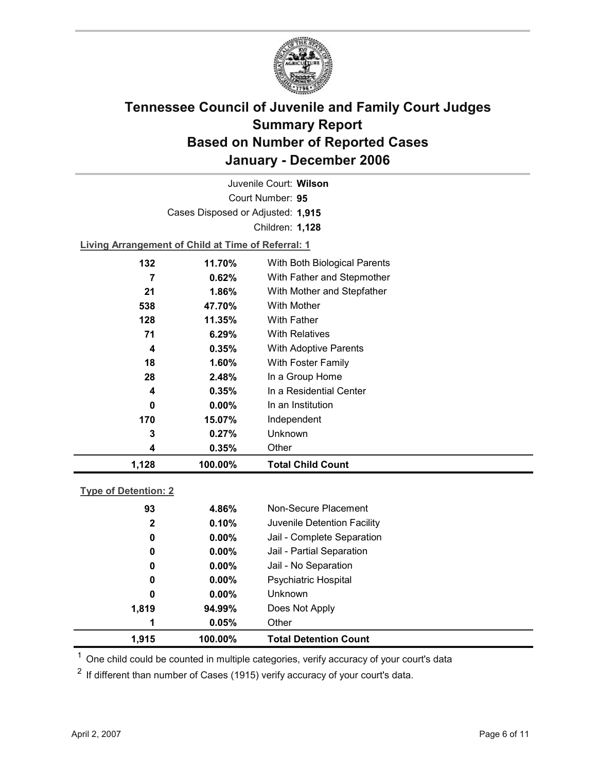

Court Number: **95** Juvenile Court: **Wilson** Cases Disposed or Adjusted: **1,915** Children: **1,128**

**Living Arrangement of Child at Time of Referral: 1**

| 1,128    | 100.00%  | <b>Total Child Count</b>     |
|----------|----------|------------------------------|
| 4        | 0.35%    | Other                        |
| 3        | 0.27%    | Unknown                      |
| 170      | 15.07%   | Independent                  |
| $\bf{0}$ | $0.00\%$ | In an Institution            |
| 4        | 0.35%    | In a Residential Center      |
| 28       | 2.48%    | In a Group Home              |
| 18       | $1.60\%$ | With Foster Family           |
| 4        | 0.35%    | <b>With Adoptive Parents</b> |
| 71       | 6.29%    | <b>With Relatives</b>        |
| 128      | 11.35%   | <b>With Father</b>           |
| 538      | 47.70%   | With Mother                  |
| 21       | $1.86\%$ | With Mother and Stepfather   |
| 7        | $0.62\%$ | With Father and Stepmother   |
| 132      | 11.70%   | With Both Biological Parents |
|          |          |                              |

#### **Type of Detention: 2**

| 1,915        | 100.00%  | <b>Total Detention Count</b> |
|--------------|----------|------------------------------|
| 1            | 0.05%    | Other                        |
| 1,819        | 94.99%   | Does Not Apply               |
| 0            | $0.00\%$ | <b>Unknown</b>               |
| 0            | $0.00\%$ | <b>Psychiatric Hospital</b>  |
| 0            | $0.00\%$ | Jail - No Separation         |
| 0            | $0.00\%$ | Jail - Partial Separation    |
| 0            | $0.00\%$ | Jail - Complete Separation   |
| $\mathbf{2}$ | 0.10%    | Juvenile Detention Facility  |
| 93           | 4.86%    | Non-Secure Placement         |
|              |          |                              |

 $<sup>1</sup>$  One child could be counted in multiple categories, verify accuracy of your court's data</sup>

 $2$  If different than number of Cases (1915) verify accuracy of your court's data.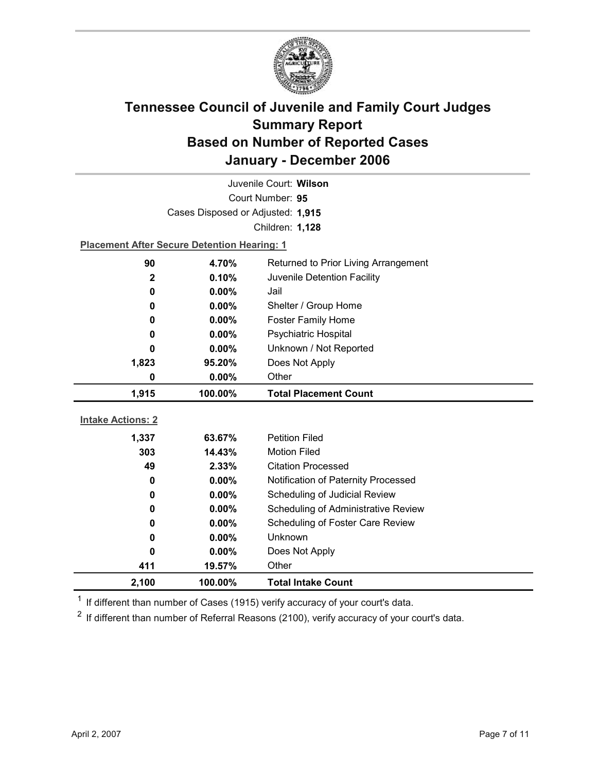

|                          | Juvenile Court: Wilson                             |                                            |  |  |  |
|--------------------------|----------------------------------------------------|--------------------------------------------|--|--|--|
|                          |                                                    | Court Number: 95                           |  |  |  |
|                          | Cases Disposed or Adjusted: 1,915                  |                                            |  |  |  |
|                          |                                                    | Children: 1,128                            |  |  |  |
|                          | <b>Placement After Secure Detention Hearing: 1</b> |                                            |  |  |  |
| 90                       | 4.70%                                              | Returned to Prior Living Arrangement       |  |  |  |
| $\mathbf 2$              | 0.10%                                              | Juvenile Detention Facility                |  |  |  |
| 0                        | $0.00\%$                                           | Jail                                       |  |  |  |
| 0                        | $0.00\%$                                           | Shelter / Group Home                       |  |  |  |
| 0                        | 0.00%                                              | <b>Foster Family Home</b>                  |  |  |  |
| 0                        | 0.00%                                              | <b>Psychiatric Hospital</b>                |  |  |  |
| 0                        | 0.00%                                              | Unknown / Not Reported                     |  |  |  |
| 1,823                    | 95.20%                                             | Does Not Apply                             |  |  |  |
| 0                        | 0.00%                                              | Other                                      |  |  |  |
|                          |                                                    |                                            |  |  |  |
| 1,915                    | 100.00%                                            | <b>Total Placement Count</b>               |  |  |  |
|                          |                                                    |                                            |  |  |  |
| <b>Intake Actions: 2</b> |                                                    |                                            |  |  |  |
| 1,337                    | 63.67%                                             | <b>Petition Filed</b>                      |  |  |  |
| 303                      | 14.43%                                             | <b>Motion Filed</b>                        |  |  |  |
| 49                       | 2.33%                                              | <b>Citation Processed</b>                  |  |  |  |
| 0                        | 0.00%                                              | Notification of Paternity Processed        |  |  |  |
| 0                        | 0.00%                                              | Scheduling of Judicial Review              |  |  |  |
| 0                        | $0.00\%$                                           | <b>Scheduling of Administrative Review</b> |  |  |  |
| 0                        | 0.00%                                              | Scheduling of Foster Care Review           |  |  |  |
| 0                        | 0.00%                                              | <b>Unknown</b>                             |  |  |  |
| 0                        | 0.00%                                              | Does Not Apply                             |  |  |  |
| 411                      | 19.57%                                             | Other                                      |  |  |  |

 $1$  If different than number of Cases (1915) verify accuracy of your court's data.

 $2$  If different than number of Referral Reasons (2100), verify accuracy of your court's data.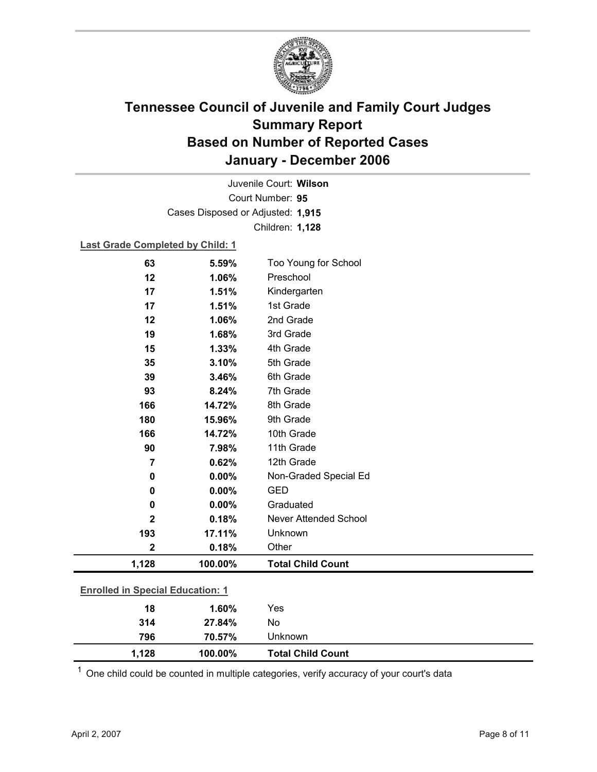

Court Number: **95** Juvenile Court: **Wilson** Cases Disposed or Adjusted: **1,915** Children: **1,128**

### **Last Grade Completed by Child: 1**

| 314                                     | 27.84%  | No                       |
|-----------------------------------------|---------|--------------------------|
| 18                                      | 1.60%   | Yes                      |
| <b>Enrolled in Special Education: 1</b> |         |                          |
| 1,128                                   | 100.00% | <b>Total Child Count</b> |
| $\mathbf 2$                             | 0.18%   | Other                    |
| 193                                     | 17.11%  | Unknown                  |
| $\mathbf{2}$                            | 0.18%   | Never Attended School    |
| 0                                       | 0.00%   | Graduated                |
| 0                                       | 0.00%   | <b>GED</b>               |
| 0                                       | 0.00%   | Non-Graded Special Ed    |
| $\overline{7}$                          | 0.62%   | 12th Grade               |
| 90                                      | 7.98%   | 11th Grade               |
| 166                                     | 14.72%  | 10th Grade               |
| 180                                     | 15.96%  | 9th Grade                |
| 166                                     | 14.72%  | 8th Grade                |
| 93                                      | 8.24%   | 7th Grade                |
| 39                                      | 3.46%   | 6th Grade                |
| 35                                      | 3.10%   | 5th Grade                |
| 15                                      | 1.33%   | 4th Grade                |
| 19                                      | 1.68%   | 3rd Grade                |
| 12                                      | 1.06%   | 2nd Grade                |
| 17                                      | 1.51%   | 1st Grade                |
| 17                                      | 1.51%   | Kindergarten             |
| 12                                      | 1.06%   | Preschool                |
| 63                                      | 5.59%   | Too Young for School     |

 $1$  One child could be counted in multiple categories, verify accuracy of your court's data

**796 70.57%** Unknown

**1,128 100.00% Total Child Count**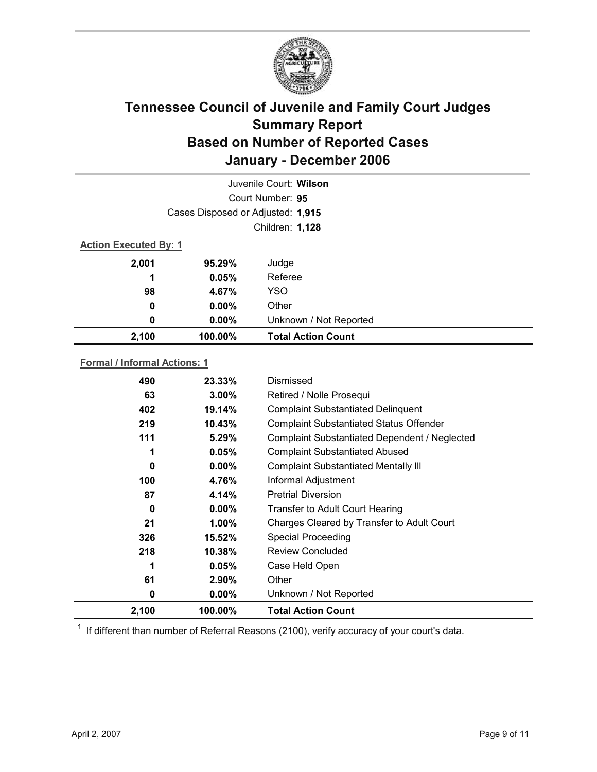

|                              |                                   | Juvenile Court: Wilson    |
|------------------------------|-----------------------------------|---------------------------|
|                              |                                   | Court Number: 95          |
|                              | Cases Disposed or Adjusted: 1,915 |                           |
|                              |                                   | Children: 1,128           |
| <b>Action Executed By: 1</b> |                                   |                           |
| 2,001                        | 95.29%                            | Judge                     |
| 1                            | 0.05%                             | Referee                   |
| 98                           | 4.67%                             | <b>YSO</b>                |
| $\boldsymbol{0}$             | $0.00\%$                          | Other                     |
| 0                            | $0.00\%$                          | Unknown / Not Reported    |
| 2,100                        | 100.00%                           | <b>Total Action Count</b> |

### **Formal / Informal Actions: 1**

| 326<br>218<br>61<br>0 | 15.52%<br>$10.38\%$<br>$0.05\%$<br>2.90%<br>$0.00\%$ | <b>Special Proceeding</b><br><b>Review Concluded</b><br>Case Held Open<br>Other<br>Unknown / Not Reported |
|-----------------------|------------------------------------------------------|-----------------------------------------------------------------------------------------------------------|
|                       |                                                      |                                                                                                           |
|                       |                                                      |                                                                                                           |
|                       |                                                      |                                                                                                           |
|                       |                                                      |                                                                                                           |
|                       |                                                      |                                                                                                           |
| 21                    | $1.00\%$                                             | Charges Cleared by Transfer to Adult Court                                                                |
| 0                     | $0.00\%$                                             | <b>Transfer to Adult Court Hearing</b>                                                                    |
| 87                    | 4.14%                                                | <b>Pretrial Diversion</b>                                                                                 |
| 100                   | 4.76%                                                | Informal Adjustment                                                                                       |
| 0                     | $0.00\%$                                             | <b>Complaint Substantiated Mentally III</b>                                                               |
| 1                     | 0.05%                                                | <b>Complaint Substantiated Abused</b>                                                                     |
| 111                   | 5.29%                                                | Complaint Substantiated Dependent / Neglected                                                             |
| 219                   | 10.43%                                               | <b>Complaint Substantiated Status Offender</b>                                                            |
| 402                   | 19.14%                                               | <b>Complaint Substantiated Delinquent</b>                                                                 |
| 63                    | $3.00\%$                                             | Retired / Nolle Prosequi                                                                                  |
| 490                   | 23.33%                                               | Dismissed                                                                                                 |
|                       |                                                      |                                                                                                           |

 $1$  If different than number of Referral Reasons (2100), verify accuracy of your court's data.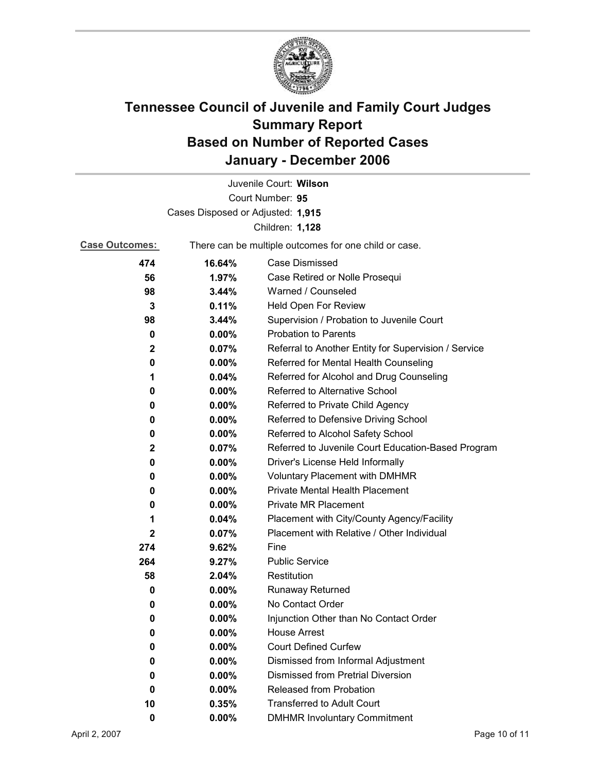

|                                   |          | Juvenile Court: Wilson                                |  |
|-----------------------------------|----------|-------------------------------------------------------|--|
|                                   |          | Court Number: 95                                      |  |
| Cases Disposed or Adjusted: 1,915 |          |                                                       |  |
|                                   |          | Children: 1,128                                       |  |
| <b>Case Outcomes:</b>             |          | There can be multiple outcomes for one child or case. |  |
| 474                               | 16.64%   | <b>Case Dismissed</b>                                 |  |
| 56                                | 1.97%    | Case Retired or Nolle Prosequi                        |  |
| 98                                | 3.44%    | Warned / Counseled                                    |  |
| 3                                 | 0.11%    | Held Open For Review                                  |  |
| 98                                | 3.44%    | Supervision / Probation to Juvenile Court             |  |
| 0                                 | $0.00\%$ | <b>Probation to Parents</b>                           |  |
| 2                                 | 0.07%    | Referral to Another Entity for Supervision / Service  |  |
| 0                                 | $0.00\%$ | Referred for Mental Health Counseling                 |  |
| 1                                 | 0.04%    | Referred for Alcohol and Drug Counseling              |  |
| 0                                 | $0.00\%$ | <b>Referred to Alternative School</b>                 |  |
| 0                                 | $0.00\%$ | Referred to Private Child Agency                      |  |
| 0                                 | $0.00\%$ | Referred to Defensive Driving School                  |  |
| 0                                 | $0.00\%$ | Referred to Alcohol Safety School                     |  |
| $\mathbf 2$                       | 0.07%    | Referred to Juvenile Court Education-Based Program    |  |
| 0                                 | $0.00\%$ | Driver's License Held Informally                      |  |
| 0                                 | $0.00\%$ | <b>Voluntary Placement with DMHMR</b>                 |  |
| 0                                 | $0.00\%$ | Private Mental Health Placement                       |  |
| 0                                 | $0.00\%$ | <b>Private MR Placement</b>                           |  |
| 1                                 | 0.04%    | Placement with City/County Agency/Facility            |  |
| $\mathbf{2}$                      | 0.07%    | Placement with Relative / Other Individual            |  |
| 274                               | 9.62%    | Fine                                                  |  |
| 264                               | 9.27%    | <b>Public Service</b>                                 |  |
| 58                                | 2.04%    | Restitution                                           |  |
| 0                                 | 0.00%    | <b>Runaway Returned</b>                               |  |
| 0                                 | $0.00\%$ | No Contact Order                                      |  |
| 0                                 | 0.00%    | Injunction Other than No Contact Order                |  |
| 0                                 | 0.00%    | <b>House Arrest</b>                                   |  |
| 0                                 | $0.00\%$ | <b>Court Defined Curfew</b>                           |  |
| 0                                 | $0.00\%$ | Dismissed from Informal Adjustment                    |  |
| 0                                 | $0.00\%$ | <b>Dismissed from Pretrial Diversion</b>              |  |
| 0                                 | 0.00%    | Released from Probation                               |  |
| 10                                | 0.35%    | <b>Transferred to Adult Court</b>                     |  |
| $\pmb{0}$                         | $0.00\%$ | <b>DMHMR Involuntary Commitment</b>                   |  |